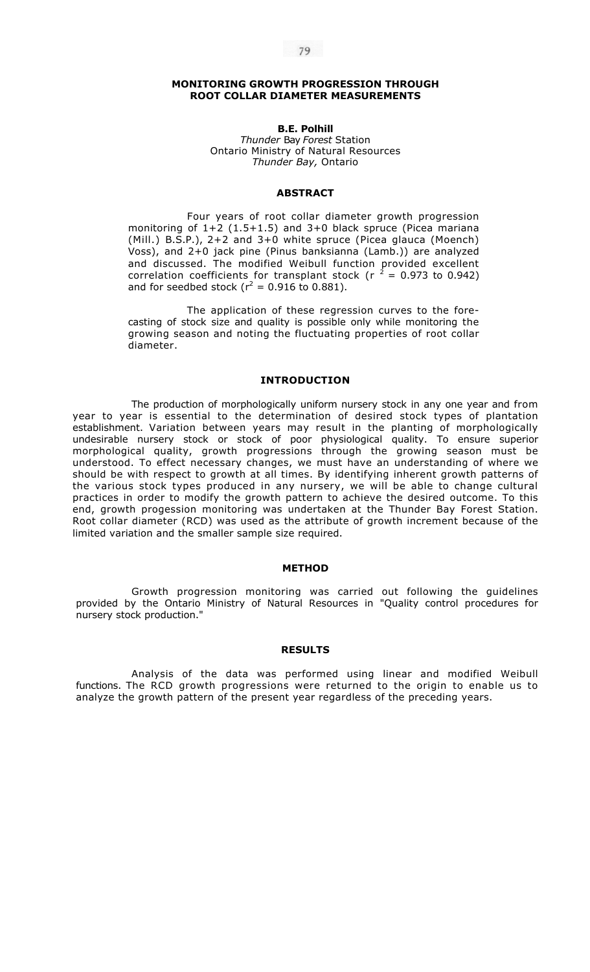### **MONITORING GROWTH PROGRESSION THROUGH ROOT COLLAR DIAMETER MEASUREMENTS**

**B.E. Polhill** 

*Thunder* Bay *Forest* Station Ontario Ministry of Natural Resources *Thunder Bay,* Ontario

# **ABSTRACT**

Four years of root collar diameter growth progression monitoring of 1+2 (1.5+1.5) and 3+0 black spruce (Picea mariana (Mill.) B.S.P.), 2+2 and 3+0 white spruce (Picea glauca (Moench) Voss), and 2+0 jack pine (Pinus banksianna (Lamb.)) are analyzed and discussed. The modified Weibull function provided excellent correlation coefficients for transplant stock (r  $^2$  = 0.973 to 0.942) and for seedbed stock ( $r^2 = 0.916$  to 0.881).

The application of these regression curves to the forecasting of stock size and quality is possible only while monitoring the growing season and noting the fluctuating properties of root collar diameter.

### **INTRODUCTION**

The production of morphologically uniform nursery stock in any one year and from year to year is essential to the determination of desired stock types of plantation establishment. Variation between years may result in the planting of morphologically undesirable nursery stock or stock of poor physiological quality. To ensure superior morphological quality, growth progressions through the growing season must be understood. To effect necessary changes, we must have an understanding of where we should be with respect to growth at all times. By identifying inherent growth patterns of the various stock types produced in any nursery, we will be able to change cultural practices in order to modify the growth pattern to achieve the desired outcome. To this end, growth progession monitoring was undertaken at the Thunder Bay Forest Station. Root collar diameter (RCD) was used as the attribute of growth increment because of the limited variation and the smaller sample size required.

#### **METHOD**

Growth progression monitoring was carried out following the guidelines provided by the Ontario Ministry of Natural Resources in "Quality control procedures for nursery stock production."

#### **RESULTS**

Analysis of the data was performed using linear and modified Weibull functions. The RCD growth progressions were returned to the origin to enable us to analyze the growth pattern of the present year regardless of the preceding years.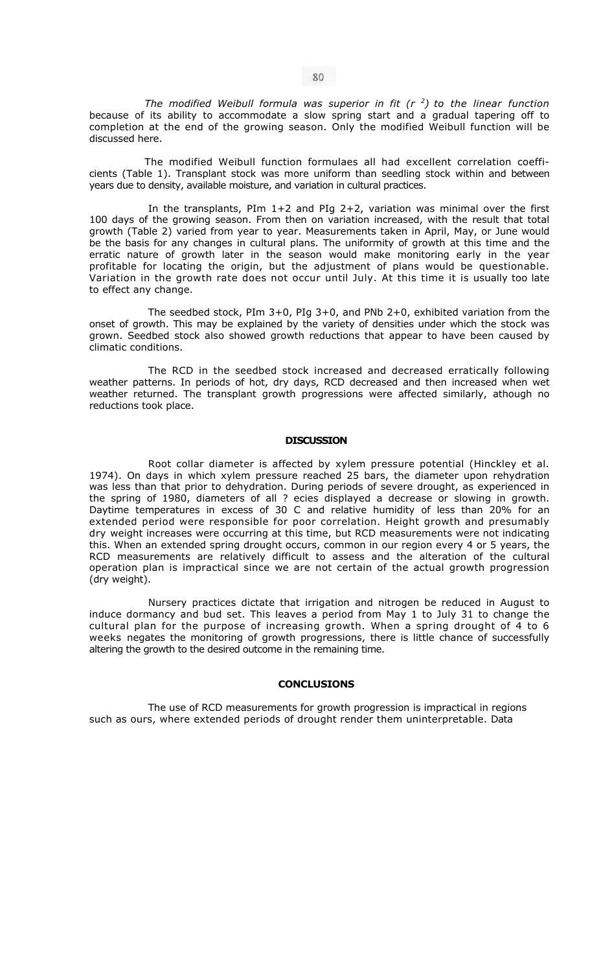The modified Weibull formula was superior in fit  $(r<sup>2</sup>)$  to the linear function because of its ability to accommodate a slow spring start and a gradual tapering off to completion at the end of the growing season. Only the modified Weibull function will be discussed here.

The modified Weibull function formulaes all had excellent correlation coefficients (Table 1). Transplant stock was more uniform than seedling stock within and between years due to density, available moisture, and variation in cultural practices.

In the transplants, PIm 1+2 and PIg 2+2, variation was minimal over the first 100 days of the growing season. From then on variation increased, with the result that total growth (Table 2) varied from year to year. Measurements taken in April, May, or June would be the basis for any changes in cultural plans. The uniformity of growth at this time and the erratic nature of growth later in the season would make monitoring early in the year profitable for locating the origin, but the adjustment of plans would be questionable. Variation in the growth rate does not occur until July. At this time it is usually too late to effect any change.

The seedbed stock, PIm 3+0, PIg 3+0, and PNb 2+0, exhibited variation from the onset of growth. This may be explained by the variety of densities under which the stock was grown. Seedbed stock also showed growth reductions that appear to have been caused by climatic conditions.

The RCD in the seedbed stock increased and decreased erratically following weather patterns. In periods of hot, dry days, RCD decreased and then increased when wet weather returned. The transplant growth progressions were affected similarly, athough no reductions took place.

#### **DISCUSSION**

Root collar diameter is affected by xylem pressure potential (Hinckley et al. 1974). On days in which xylem pressure reached 25 bars, the diameter upon rehydration was less than that prior to dehydration. During periods of severe drought, as experienced in the spring of 1980, diameters of all ? ecies displayed a decrease or slowing in growth. Daytime temperatures in excess of 30 C and relative humidity of less than 20% for an extended period were responsible for poor correlation. Height growth and presumably dry weight increases were occurring at this time, but RCD measurements were not indicating this. When an extended spring drought occurs, common in our region every 4 or 5 years, the RCD measurements are relatively difficult to assess and the alteration of the cultural operation plan is impractical since we are not certain of the actual growth progression (dry weight).

Nursery practices dictate that irrigation and nitrogen be reduced in August to induce dormancy and bud set. This leaves a period from May 1 to July 31 to change the cultural plan for the purpose of increasing growth. When a spring drought of  $\overline{4}$  to 6 weeks negates the monitoring of growth progressions, there is little chance of successfully altering the growth to the desired outcome in the remaining time.

#### **CONCLUSIONS**

The use of RCD measurements for growth progression is impractical in regions such as ours, where extended periods of drought render them uninterpretable. Data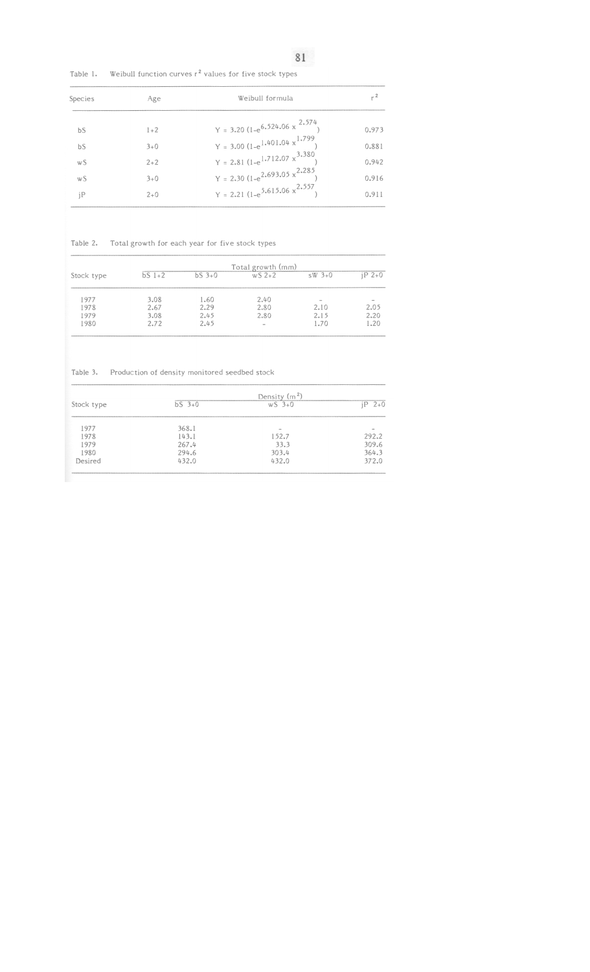Table 1. Weibull function curves  $r^2$  values for five stock types

| Species | Age   | Weibull formula                                                                                              | <sub>r</sub> 2<br>0.973 |
|---------|-------|--------------------------------------------------------------------------------------------------------------|-------------------------|
| bS      | $1+2$ | Y = 3.20 $(1-e^{6.524.06 \times \frac{2.574}{1}})$                                                           |                         |
| bS      | $3+0$ | Y = 3.00 (1-e <sup>1.401.04 x<sup>1.799</sup>)<br/>Y = 2.81 (1-e<sup>1.712.07 x<sup>3.380</sup>)</sup></sup> | 0.881                   |
| wS      | $2+2$ |                                                                                                              | 0.942                   |
| wS      | $3+0$ | Y = 2.30 (1-e <sup>2.693.05 x<sup>2.285</sup>)<br/>Y = 2.21 (1-e<sup>5.615.06 x<sup>2.557</sup>)</sup></sup> | 0.916                   |
| iP      | $2+0$ |                                                                                                              | 0.911                   |

## Table 2. Total growth for each year for five stock types

| Stock type | Total growth (mm) |          |         |                          |          |  |
|------------|-------------------|----------|---------|--------------------------|----------|--|
|            | $bS$ $1+2$        | $bS$ 3+0 | $WS2+2$ | $sW$ 3+0                 | $iP$ 2+0 |  |
| 1977       | 3.08              | 1.60     | 2.40    | $\overline{\phantom{a}}$ |          |  |
| 1978       | 2.67              | 2.29     | 2.80    | 2.10                     | 2.05     |  |
| 1979       | 3.08              | 2.45     | 2.80    | 2.15                     | 2.20     |  |
| 1980       | 2.72              | 2.45     | $\,$    | 1.70                     | 1.20     |  |

Table 3. Production of density monitored seedbed stock

|            |          | Density $(m2)$ |             |
|------------|----------|----------------|-------------|
| Stock type | $bS$ 3+0 | $WS - 3 + 0$   | $2+0$<br>iР |
| 1977       | 368.1    | $\,$           |             |
| 1978       | 143.1    | 152.7          | 292.2       |
| 1979       | 267.4    | 33.3           | 309.6       |
| 1980       | 294.6    | 303.4          | 364.3       |
| Desired    | 432.0    | 432.0          | 372.0       |